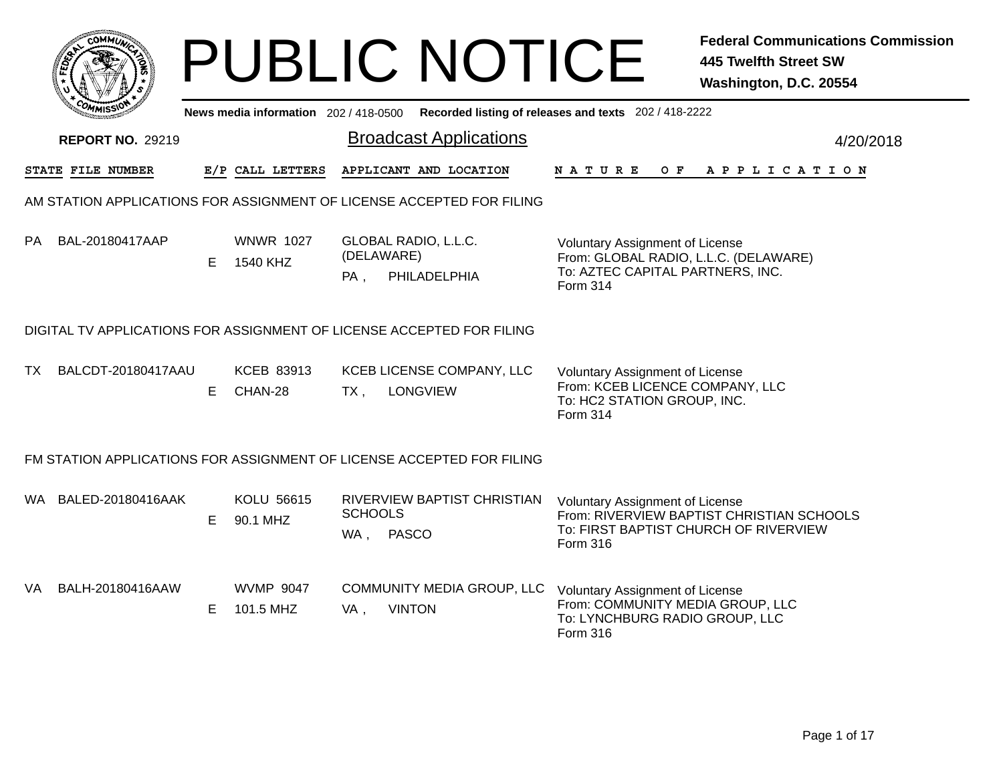|      | r <b>.OMM</b>           |    |                               |                       | <b>PUBLIC NOTICE</b>                                                                        |                                                                                                                                 | <b>Federal Communications Commission</b><br><b>445 Twelfth Street SW</b><br>Washington, D.C. 20554 |
|------|-------------------------|----|-------------------------------|-----------------------|---------------------------------------------------------------------------------------------|---------------------------------------------------------------------------------------------------------------------------------|----------------------------------------------------------------------------------------------------|
|      |                         |    |                               |                       | News media information 202 / 418-0500 Recorded listing of releases and texts 202 / 418-2222 |                                                                                                                                 |                                                                                                    |
|      | <b>REPORT NO. 29219</b> |    |                               |                       | <b>Broadcast Applications</b>                                                               |                                                                                                                                 | 4/20/2018                                                                                          |
|      | STATE FILE NUMBER       |    | E/P CALL LETTERS              |                       | APPLICANT AND LOCATION                                                                      | N A T U R E<br>O F                                                                                                              | A P P L I C A T I O N                                                                              |
|      |                         |    |                               |                       | AM STATION APPLICATIONS FOR ASSIGNMENT OF LICENSE ACCEPTED FOR FILING                       |                                                                                                                                 |                                                                                                    |
| PA   | BAL-20180417AAP         | E. | <b>WNWR 1027</b><br>1540 KHZ  | (DELAWARE)<br>PA,     | GLOBAL RADIO, L.L.C.<br>PHILADELPHIA                                                        | <b>Voluntary Assignment of License</b><br>From: GLOBAL RADIO, L.L.C. (DELAWARE)<br>To: AZTEC CAPITAL PARTNERS, INC.<br>Form 314 |                                                                                                    |
|      |                         |    |                               |                       | DIGITAL TV APPLICATIONS FOR ASSIGNMENT OF LICENSE ACCEPTED FOR FILING                       |                                                                                                                                 |                                                                                                    |
| TX   | BALCDT-20180417AAU      | E. | KCEB 83913<br>CHAN-28         | $TX$ ,                | KCEB LICENSE COMPANY, LLC<br><b>LONGVIEW</b>                                                | <b>Voluntary Assignment of License</b><br>From: KCEB LICENCE COMPANY, LLC<br>To: HC2 STATION GROUP, INC.<br>Form 314            |                                                                                                    |
|      |                         |    |                               |                       | FM STATION APPLICATIONS FOR ASSIGNMENT OF LICENSE ACCEPTED FOR FILING                       |                                                                                                                                 |                                                                                                    |
|      | WA BALED-20180416AAK    | E. | KOLU 56615<br>90.1 MHZ        | <b>SCHOOLS</b><br>WA, | RIVERVIEW BAPTIST CHRISTIAN<br><b>PASCO</b>                                                 | <b>Voluntary Assignment of License</b><br>To: FIRST BAPTIST CHURCH OF RIVERVIEW<br>Form 316                                     | From: RIVERVIEW BAPTIST CHRISTIAN SCHOOLS                                                          |
| VA - | BALH-20180416AAW        | Е  | <b>WVMP 9047</b><br>101.5 MHZ | VA,                   | COMMUNITY MEDIA GROUP, LLC<br><b>VINTON</b>                                                 | <b>Voluntary Assignment of License</b><br>From: COMMUNITY MEDIA GROUP, LLC<br>To: LYNCHBURG RADIO GROUP, LLC<br>Form 316        |                                                                                                    |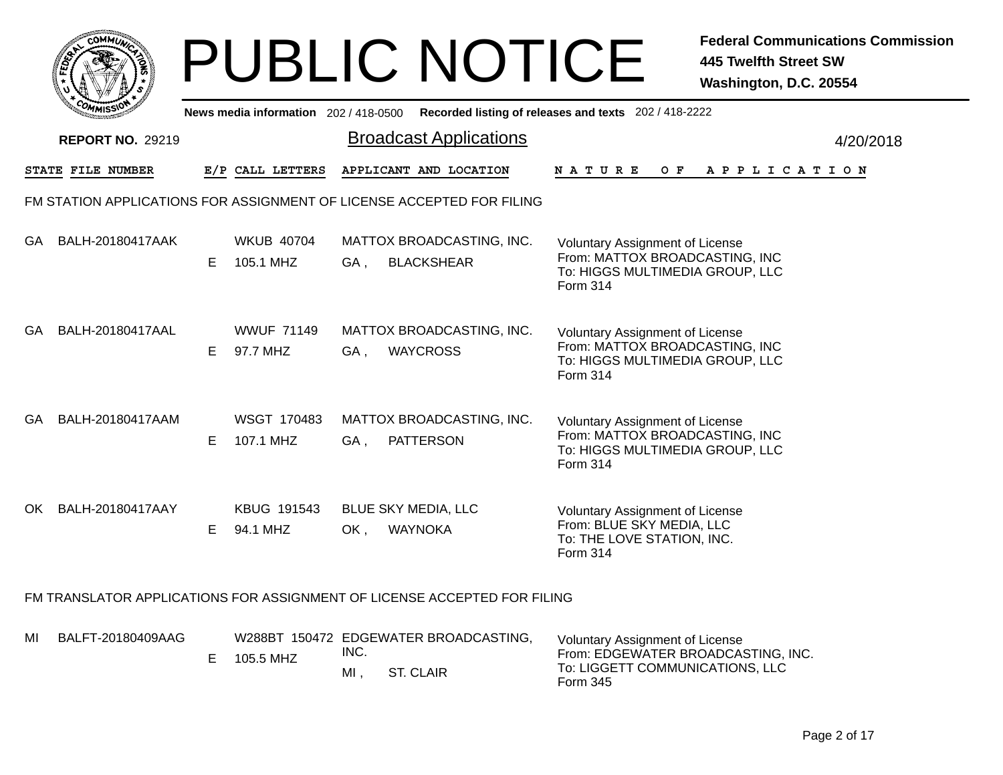|     | <b>:ОММЫ</b>            |    |                                                                  |      | <b>PUBLIC NOTICE</b>                                                                        |                                                                                                                         | <b>Federal Communications Commission</b><br><b>445 Twelfth Street SW</b><br>Washington, D.C. 20554 |
|-----|-------------------------|----|------------------------------------------------------------------|------|---------------------------------------------------------------------------------------------|-------------------------------------------------------------------------------------------------------------------------|----------------------------------------------------------------------------------------------------|
|     |                         |    |                                                                  |      | News media information 202 / 418-0500 Recorded listing of releases and texts 202 / 418-2222 |                                                                                                                         |                                                                                                    |
|     | <b>REPORT NO. 29219</b> |    |                                                                  |      | <b>Broadcast Applications</b>                                                               |                                                                                                                         | 4/20/2018                                                                                          |
|     | STATE FILE NUMBER       |    | E/P CALL LETTERS                                                 |      | APPLICANT AND LOCATION                                                                      | N A T U R E                                                                                                             | OF APPLICATION                                                                                     |
|     |                         |    |                                                                  |      | FM STATION APPLICATIONS FOR ASSIGNMENT OF LICENSE ACCEPTED FOR FILING                       |                                                                                                                         |                                                                                                    |
| GA  | BALH-20180417AAK        | E. | <b>WKUB 40704</b><br>105.1 MHZ                                   | GA . | MATTOX BROADCASTING, INC.<br><b>BLACKSHEAR</b>                                              | <b>Voluntary Assignment of License</b><br>From: MATTOX BROADCASTING, INC<br>To: HIGGS MULTIMEDIA GROUP, LLC<br>Form 314 |                                                                                                    |
|     | GA BALH-20180417AAL     | E. | <b>WWUF 71149</b><br>97.7 MHZ                                    | GA . | MATTOX BROADCASTING, INC.<br><b>WAYCROSS</b>                                                | Voluntary Assignment of License<br>From: MATTOX BROADCASTING, INC<br>To: HIGGS MULTIMEDIA GROUP, LLC<br>Form 314        |                                                                                                    |
| GA. | BALH-20180417AAM        | E. | WSGT 170483<br>107.1 MHZ                                         | GA,  | MATTOX BROADCASTING, INC.<br><b>PATTERSON</b>                                               | Voluntary Assignment of License<br>From: MATTOX BROADCASTING, INC<br>To: HIGGS MULTIMEDIA GROUP, LLC<br>Form 314        |                                                                                                    |
|     | OK BALH-20180417AAY     | Е. | KBUG 191543<br>94.1 MHZ                                          | OK,  | <b>BLUE SKY MEDIA, LLC</b><br><b>WAYNOKA</b>                                                | <b>Voluntary Assignment of License</b><br>From: BLUE SKY MEDIA, LLC<br>To: THE LOVE STATION, INC.<br>Form 314           |                                                                                                    |
|     |                         |    |                                                                  |      | FM TRANSLATOR APPLICATIONS FOR ASSIGNMENT OF LICENSE ACCEPTED FOR FILING                    |                                                                                                                         |                                                                                                    |
| MI  | BALFT-20180409AAG       |    | $\Gamma$ $\Lambda$ $\Gamma$ $\Gamma$ $\Lambda$ $\Gamma$ $\Gamma$ | INC. | W288BT 150472 EDGEWATER BROADCASTING,                                                       | <b>Voluntary Assignment of License</b><br>From EDGEWATER RROADCASTING INC.                                              |                                                                                                    |

| E 105.5 MHZ | ING. |           | From: EDGEWATER BROADCASTING, INC.          |
|-------------|------|-----------|---------------------------------------------|
|             | МI   | ST. CLAIR | To: LIGGETT COMMUNICATIONS, LLC<br>Form 345 |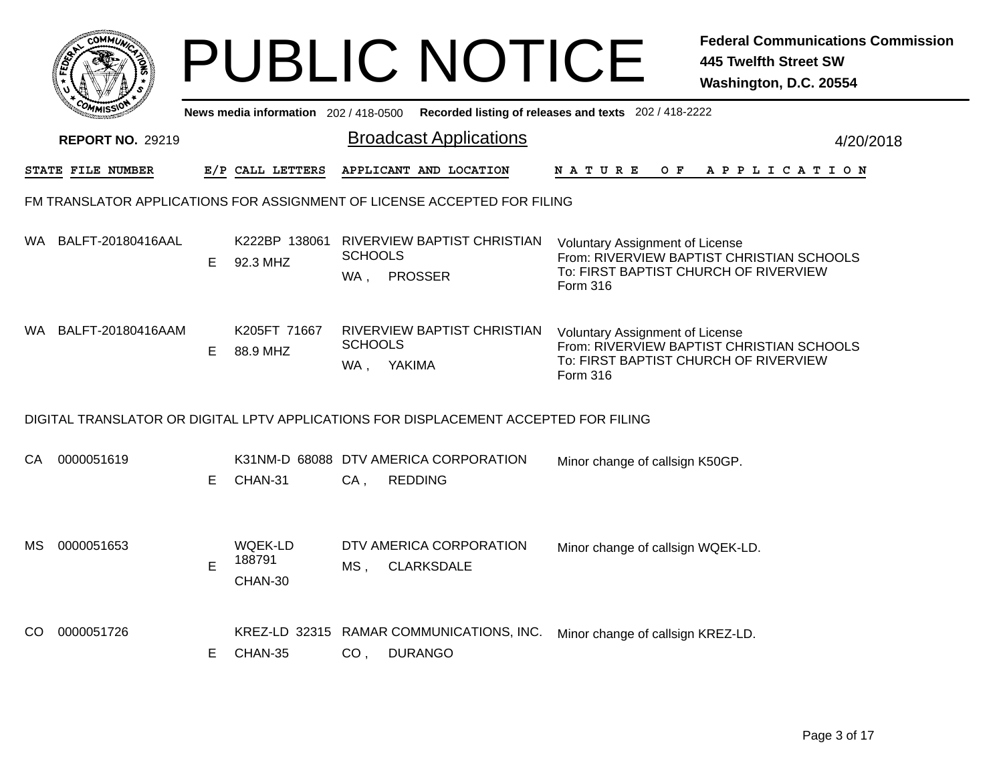|      |                                                                          |    |                                       | <b>PUBLIC NOTICE</b>                                                                 |                                                                                             | <b>Federal Communications Commission</b><br><b>445 Twelfth Street SW</b><br>Washington, D.C. 20554 |  |  |  |  |  |  |
|------|--------------------------------------------------------------------------|----|---------------------------------------|--------------------------------------------------------------------------------------|---------------------------------------------------------------------------------------------|----------------------------------------------------------------------------------------------------|--|--|--|--|--|--|
|      |                                                                          |    | News media information 202 / 418-0500 |                                                                                      | Recorded listing of releases and texts 202 / 418-2222                                       |                                                                                                    |  |  |  |  |  |  |
|      | <b>REPORT NO. 29219</b>                                                  |    |                                       | <b>Broadcast Applications</b>                                                        |                                                                                             | 4/20/2018                                                                                          |  |  |  |  |  |  |
|      | STATE FILE NUMBER                                                        |    | E/P CALL LETTERS                      | APPLICANT AND LOCATION                                                               | N A T U R E<br>O F                                                                          | A P P L I C A T I O N                                                                              |  |  |  |  |  |  |
|      | FM TRANSLATOR APPLICATIONS FOR ASSIGNMENT OF LICENSE ACCEPTED FOR FILING |    |                                       |                                                                                      |                                                                                             |                                                                                                    |  |  |  |  |  |  |
| WA.  | BALFT-20180416AAL                                                        | Е  | K222BP 138061<br>92.3 MHZ             | RIVERVIEW BAPTIST CHRISTIAN<br><b>SCHOOLS</b><br><b>PROSSER</b><br>WA,               | <b>Voluntary Assignment of License</b><br>To: FIRST BAPTIST CHURCH OF RIVERVIEW<br>Form 316 | From: RIVERVIEW BAPTIST CHRISTIAN SCHOOLS                                                          |  |  |  |  |  |  |
| WA . | BALFT-20180416AAM                                                        | Е  | K205FT 71667<br>88.9 MHZ              | RIVERVIEW BAPTIST CHRISTIAN<br><b>SCHOOLS</b><br>WA, YAKIMA                          | Voluntary Assignment of License<br>To: FIRST BAPTIST CHURCH OF RIVERVIEW<br>Form 316        | From: RIVERVIEW BAPTIST CHRISTIAN SCHOOLS                                                          |  |  |  |  |  |  |
|      |                                                                          |    |                                       | DIGITAL TRANSLATOR OR DIGITAL LPTV APPLICATIONS FOR DISPLACEMENT ACCEPTED FOR FILING |                                                                                             |                                                                                                    |  |  |  |  |  |  |
| CA.  | 0000051619                                                               | Е  | CHAN-31                               | K31NM-D 68088 DTV AMERICA CORPORATION<br>$CA$ ,<br><b>REDDING</b>                    | Minor change of callsign K50GP.                                                             |                                                                                                    |  |  |  |  |  |  |
| MS   | 0000051653                                                               | E  | <b>WQEK-LD</b><br>188791<br>CHAN-30   | DTV AMERICA CORPORATION<br><b>CLARKSDALE</b><br>MS ,                                 | Minor change of callsign WQEK-LD.                                                           |                                                                                                    |  |  |  |  |  |  |
| CO.  | 0000051726                                                               | E. | CHAN-35                               | KREZ-LD 32315 RAMAR COMMUNICATIONS, INC.<br>CO <sub>1</sub><br><b>DURANGO</b>        | Minor change of callsign KREZ-LD.                                                           |                                                                                                    |  |  |  |  |  |  |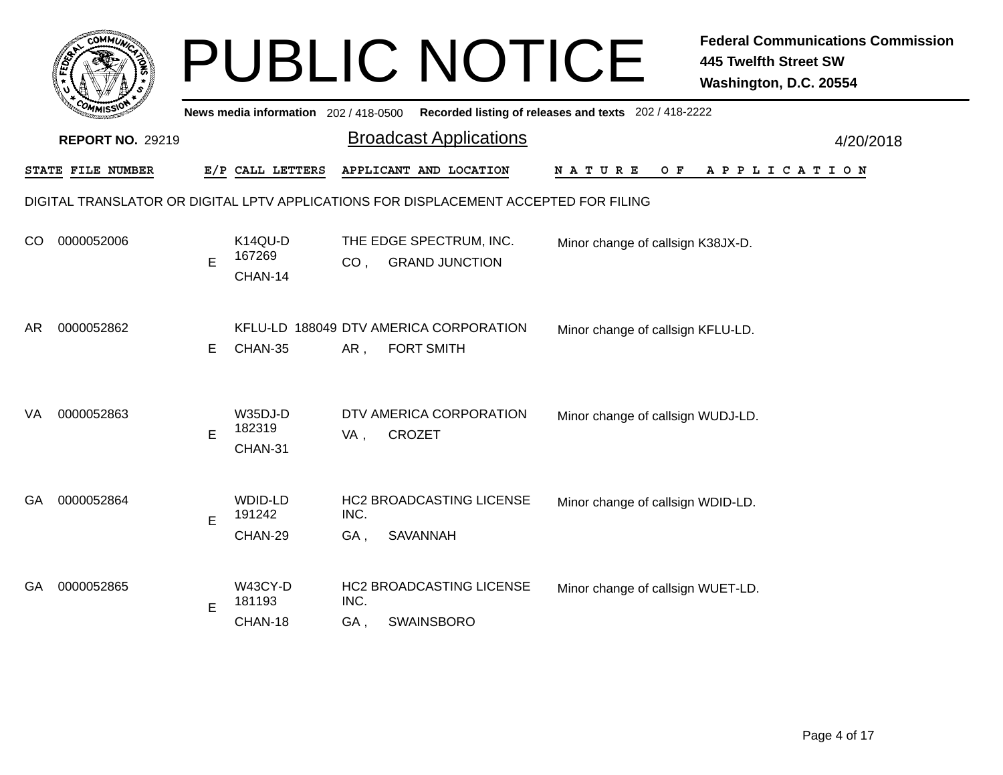|     |                         |   |                                           |                 | <b>PUBLIC NOTICE</b>                                                                 |                                                       | <b>Federal Communications Commission</b><br><b>445 Twelfth Street SW</b><br>Washington, D.C. 20554 |
|-----|-------------------------|---|-------------------------------------------|-----------------|--------------------------------------------------------------------------------------|-------------------------------------------------------|----------------------------------------------------------------------------------------------------|
|     |                         |   | News media information 202 / 418-0500     |                 |                                                                                      | Recorded listing of releases and texts 202 / 418-2222 |                                                                                                    |
|     | <b>REPORT NO. 29219</b> |   |                                           |                 | <b>Broadcast Applications</b>                                                        |                                                       | 4/20/2018                                                                                          |
|     | STATE FILE NUMBER       |   | E/P CALL LETTERS                          |                 | APPLICANT AND LOCATION                                                               | N A T U R E<br>O F                                    | A P P L I C A T I O N                                                                              |
|     |                         |   |                                           |                 | DIGITAL TRANSLATOR OR DIGITAL LPTV APPLICATIONS FOR DISPLACEMENT ACCEPTED FOR FILING |                                                       |                                                                                                    |
| CO. | 0000052006              | E | K <sub>14</sub> QU-D<br>167269<br>CHAN-14 | CO <sub>1</sub> | THE EDGE SPECTRUM, INC.<br><b>GRAND JUNCTION</b>                                     | Minor change of callsign K38JX-D.                     |                                                                                                    |
| AR  | 0000052862              | Е | CHAN-35                                   | AR,             | KFLU-LD 188049 DTV AMERICA CORPORATION<br><b>FORT SMITH</b>                          | Minor change of callsign KFLU-LD.                     |                                                                                                    |
| VA  | 0000052863              | E | W35DJ-D<br>182319<br>CHAN-31              | VA,             | DTV AMERICA CORPORATION<br><b>CROZET</b>                                             | Minor change of callsign WUDJ-LD.                     |                                                                                                    |
| GA. | 0000052864              | E | <b>WDID-LD</b><br>191242<br>CHAN-29       | INC.<br>GA,     | HC2 BROADCASTING LICENSE<br><b>SAVANNAH</b>                                          | Minor change of callsign WDID-LD.                     |                                                                                                    |
| GA. | 0000052865              | Е | W43CY-D<br>181193<br>CHAN-18              | INC.<br>GA,     | <b>HC2 BROADCASTING LICENSE</b><br><b>SWAINSBORO</b>                                 | Minor change of callsign WUET-LD.                     |                                                                                                    |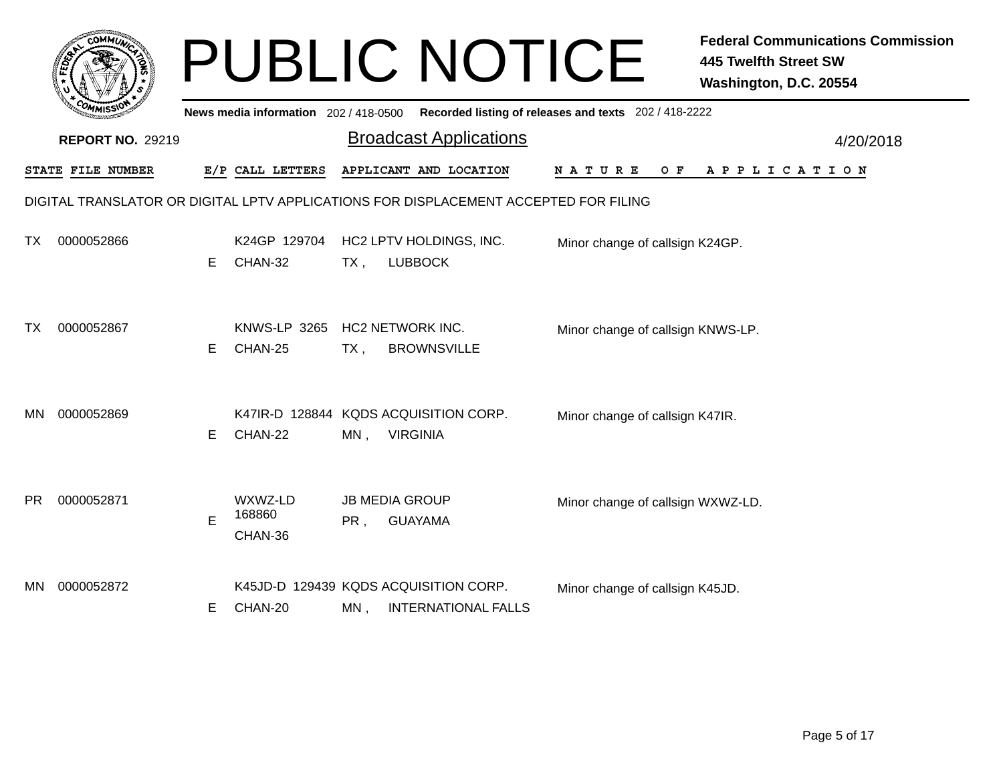|           | соммо                   |    |                                       |        | <b>PUBLIC NOTICE</b>                                                                 |                                                       | <b>Federal Communications Commission</b><br><b>445 Twelfth Street SW</b><br>Washington, D.C. 20554 |
|-----------|-------------------------|----|---------------------------------------|--------|--------------------------------------------------------------------------------------|-------------------------------------------------------|----------------------------------------------------------------------------------------------------|
|           |                         |    | News media information 202 / 418-0500 |        |                                                                                      | Recorded listing of releases and texts 202 / 418-2222 |                                                                                                    |
|           | <b>REPORT NO. 29219</b> |    |                                       |        | <b>Broadcast Applications</b>                                                        |                                                       | 4/20/2018                                                                                          |
|           | STATE FILE NUMBER       |    | E/P CALL LETTERS                      |        | APPLICANT AND LOCATION                                                               | N A T U R E<br>O F                                    | A P P L I C A T I O N                                                                              |
|           |                         |    |                                       |        | DIGITAL TRANSLATOR OR DIGITAL LPTV APPLICATIONS FOR DISPLACEMENT ACCEPTED FOR FILING |                                                       |                                                                                                    |
| ТX        | 0000052866              | E. | K24GP 129704<br>CHAN-32               | $TX$ , | HC2 LPTV HOLDINGS, INC.<br><b>LUBBOCK</b>                                            | Minor change of callsign K24GP.                       |                                                                                                    |
| ТX        | 0000052867              | E. | <b>KNWS-LP 3265</b><br>CHAN-25        | TX,    | <b>HC2 NETWORK INC.</b><br><b>BROWNSVILLE</b>                                        | Minor change of callsign KNWS-LP.                     |                                                                                                    |
| <b>MN</b> | 0000052869              | E  | CHAN-22                               | MN,    | K47IR-D 128844 KQDS ACQUISITION CORP.<br><b>VIRGINIA</b>                             | Minor change of callsign K47IR.                       |                                                                                                    |
| <b>PR</b> | 0000052871              | E  | WXWZ-LD<br>168860<br>CHAN-36          | PR,    | <b>JB MEDIA GROUP</b><br><b>GUAYAMA</b>                                              | Minor change of callsign WXWZ-LD.                     |                                                                                                    |
| MN.       | 0000052872              | E  | CHAN-20                               | MN,    | K45JD-D 129439 KQDS ACQUISITION CORP.<br><b>INTERNATIONAL FALLS</b>                  | Minor change of callsign K45JD.                       |                                                                                                    |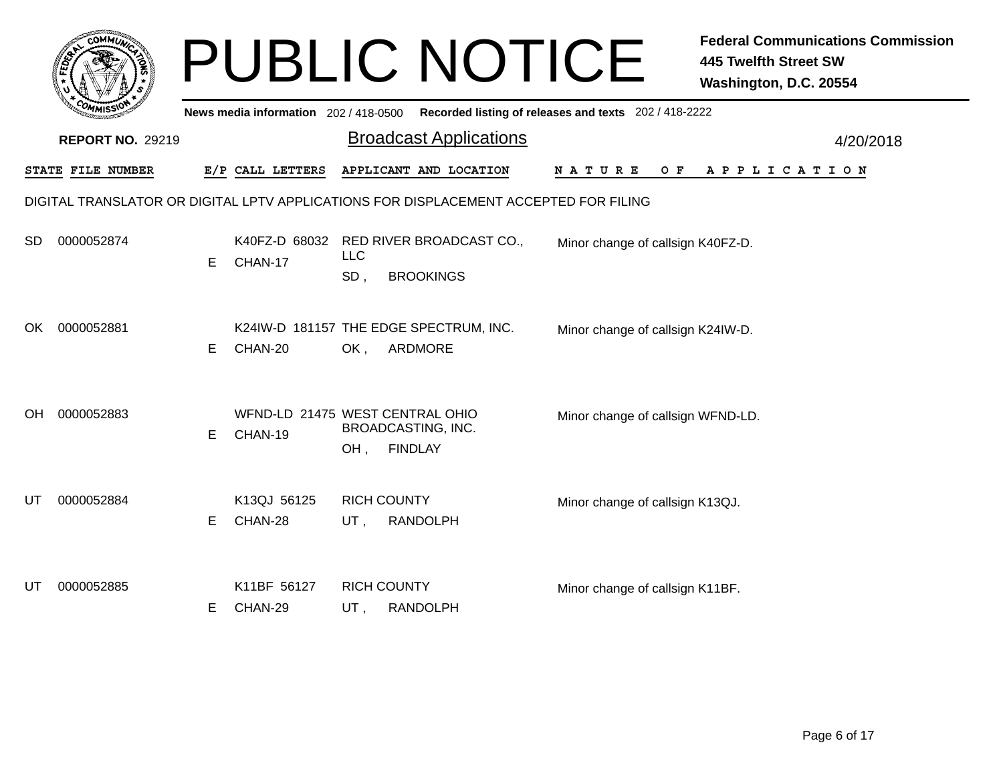|     |                         |    |                                            |                   | <b>PUBLIC NOTICE</b>                                                                 |                                                       | <b>Federal Communications Commission</b><br>445 Twelfth Street SW<br>Washington, D.C. 20554 |
|-----|-------------------------|----|--------------------------------------------|-------------------|--------------------------------------------------------------------------------------|-------------------------------------------------------|---------------------------------------------------------------------------------------------|
|     |                         |    | News media information 202 / 418-0500      |                   |                                                                                      | Recorded listing of releases and texts 202 / 418-2222 |                                                                                             |
|     | <b>REPORT NO. 29219</b> |    |                                            |                   | <b>Broadcast Applications</b>                                                        |                                                       | 4/20/2018                                                                                   |
|     | STATE FILE NUMBER       |    | E/P CALL LETTERS                           |                   | APPLICANT AND LOCATION                                                               | N A T U R E<br>O F                                    | A P P L I C A T I O N                                                                       |
|     |                         |    |                                            |                   | DIGITAL TRANSLATOR OR DIGITAL LPTV APPLICATIONS FOR DISPLACEMENT ACCEPTED FOR FILING |                                                       |                                                                                             |
| SD. | 0000052874              | E  | K40FZ-D 68032<br>CHAN-17                   | <b>LLC</b><br>SD, | RED RIVER BROADCAST CO.,<br><b>BROOKINGS</b>                                         | Minor change of callsign K40FZ-D.                     |                                                                                             |
| OK. | 0000052881              | E. | CHAN-20                                    | OK,               | K24IW-D 181157 THE EDGE SPECTRUM, INC.<br>ARDMORE                                    | Minor change of callsign K24IW-D.                     |                                                                                             |
| OH. | 0000052883              | E. | WFND-LD 21475 WEST CENTRAL OHIO<br>CHAN-19 | OH,               | BROADCASTING, INC.<br><b>FINDLAY</b>                                                 | Minor change of callsign WFND-LD.                     |                                                                                             |
| UT  | 0000052884              | Е  | K13QJ 56125<br>CHAN-28                     | UT,               | <b>RICH COUNTY</b><br><b>RANDOLPH</b>                                                | Minor change of callsign K13QJ.                       |                                                                                             |
| UT  | 0000052885              | Е  | K11BF 56127<br>CHAN-29                     | UT,               | <b>RICH COUNTY</b><br><b>RANDOLPH</b>                                                | Minor change of callsign K11BF.                       |                                                                                             |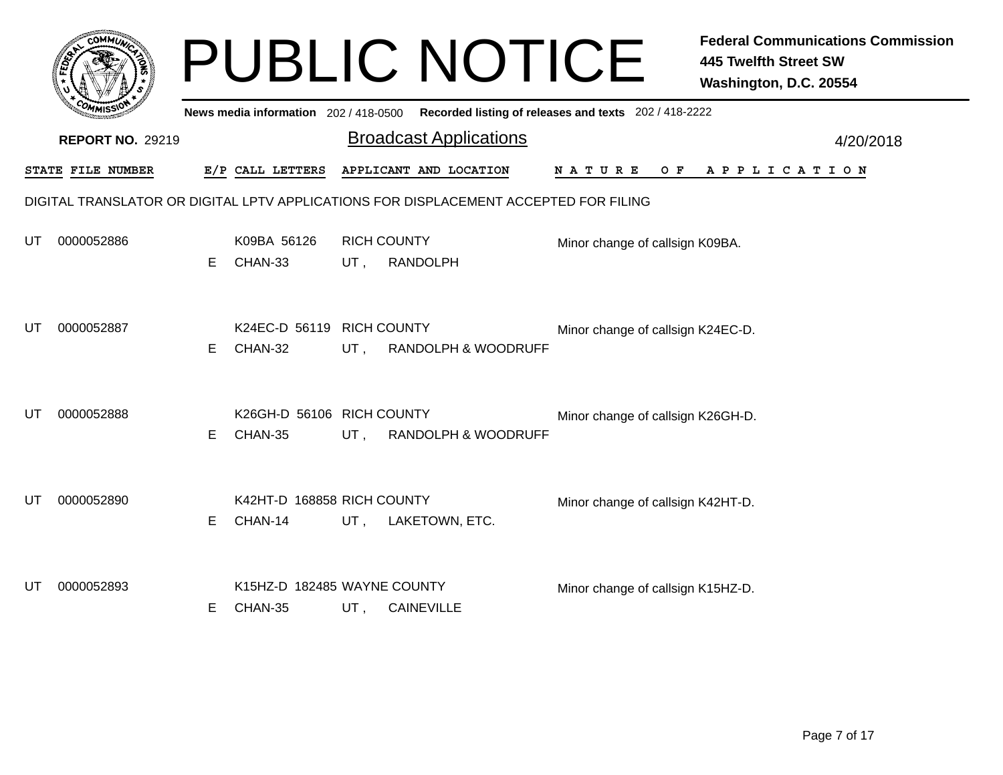|    |                                                                                      |    |                                        |        | <b>PUBLIC NOTICE</b>                                                                    |                                   | <b>Federal Communications Commission</b><br><b>445 Twelfth Street SW</b><br>Washington, D.C. 20554 |  |  |  |  |
|----|--------------------------------------------------------------------------------------|----|----------------------------------------|--------|-----------------------------------------------------------------------------------------|-----------------------------------|----------------------------------------------------------------------------------------------------|--|--|--|--|
|    |                                                                                      |    |                                        |        | News media information 202/418-0500 Recorded listing of releases and texts 202/418-2222 |                                   |                                                                                                    |  |  |  |  |
|    | <b>REPORT NO. 29219</b>                                                              |    |                                        |        | <b>Broadcast Applications</b>                                                           |                                   | 4/20/2018                                                                                          |  |  |  |  |
|    | STATE FILE NUMBER                                                                    |    | E/P CALL LETTERS                       |        | APPLICANT AND LOCATION                                                                  | <b>NATURE</b><br>O F              | A P P L I C A T I O N                                                                              |  |  |  |  |
|    | DIGITAL TRANSLATOR OR DIGITAL LPTV APPLICATIONS FOR DISPLACEMENT ACCEPTED FOR FILING |    |                                        |        |                                                                                         |                                   |                                                                                                    |  |  |  |  |
| UT | 0000052886                                                                           | E. | K09BA 56126<br>CHAN-33                 | UT,    | <b>RICH COUNTY</b><br><b>RANDOLPH</b>                                                   | Minor change of callsign K09BA.   |                                                                                                    |  |  |  |  |
| UT | 0000052887                                                                           | E. | K24EC-D 56119<br>CHAN-32               | $UT$ , | <b>RICH COUNTY</b><br><b>RANDOLPH &amp; WOODRUFF</b>                                    | Minor change of callsign K24EC-D. |                                                                                                    |  |  |  |  |
| UT | 0000052888                                                                           | E. | K26GH-D 56106 RICH COUNTY<br>CHAN-35   | UT,    | <b>RANDOLPH &amp; WOODRUFF</b>                                                          | Minor change of callsign K26GH-D. |                                                                                                    |  |  |  |  |
| UT | 0000052890                                                                           | E. | K42HT-D 168858 RICH COUNTY<br>CHAN-14  | UT,    | LAKETOWN, ETC.                                                                          | Minor change of callsign K42HT-D. |                                                                                                    |  |  |  |  |
| UT | 0000052893                                                                           | E. | K15HZ-D 182485 WAYNE COUNTY<br>CHAN-35 | UT,    | <b>CAINEVILLE</b>                                                                       | Minor change of callsign K15HZ-D. |                                                                                                    |  |  |  |  |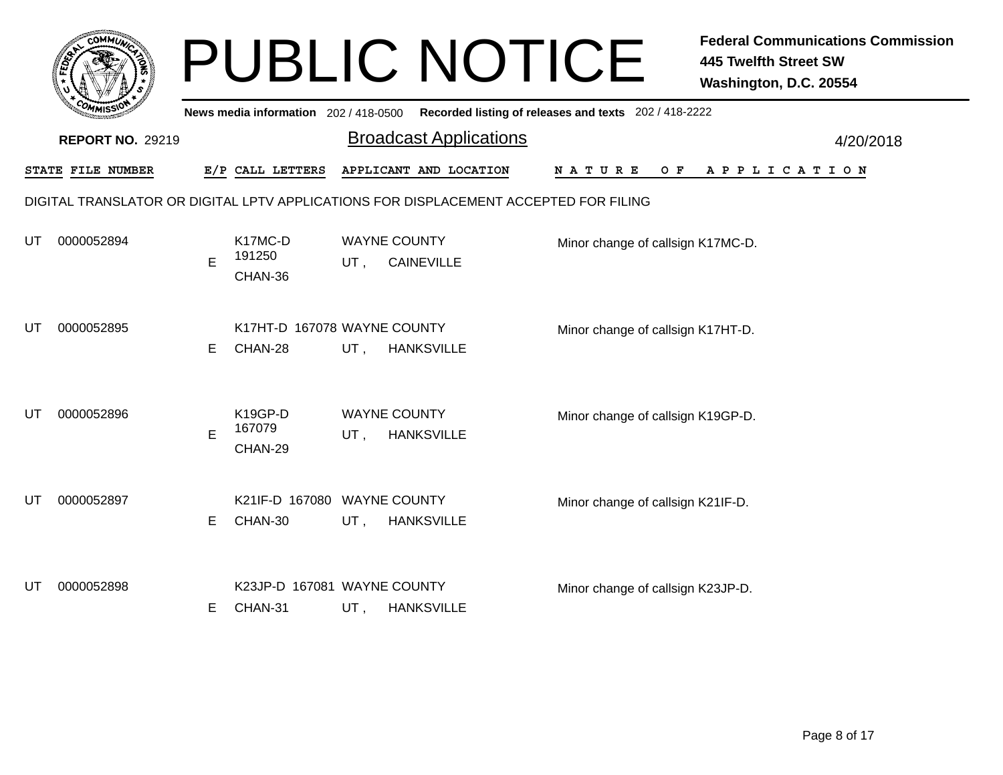|    |                                                                                      |    |                                        |     | <b>PUBLIC NOTICE</b>                     |                                                       | <b>Federal Communications Commission</b><br><b>445 Twelfth Street SW</b><br>Washington, D.C. 20554 |  |  |  |  |  |
|----|--------------------------------------------------------------------------------------|----|----------------------------------------|-----|------------------------------------------|-------------------------------------------------------|----------------------------------------------------------------------------------------------------|--|--|--|--|--|
|    |                                                                                      |    | News media information 202 / 418-0500  |     |                                          | Recorded listing of releases and texts 202 / 418-2222 |                                                                                                    |  |  |  |  |  |
|    | <b>REPORT NO. 29219</b>                                                              |    |                                        |     | <b>Broadcast Applications</b>            |                                                       | 4/20/2018                                                                                          |  |  |  |  |  |
|    | STATE FILE NUMBER                                                                    |    | E/P CALL LETTERS                       |     | APPLICANT AND LOCATION                   | N A T U R E<br>O F                                    | A P P L I C A T I O N                                                                              |  |  |  |  |  |
|    | DIGITAL TRANSLATOR OR DIGITAL LPTV APPLICATIONS FOR DISPLACEMENT ACCEPTED FOR FILING |    |                                        |     |                                          |                                                       |                                                                                                    |  |  |  |  |  |
| UT | 0000052894                                                                           | E  | K17MC-D<br>191250<br>CHAN-36           | UT. | <b>WAYNE COUNTY</b><br><b>CAINEVILLE</b> | Minor change of callsign K17MC-D.                     |                                                                                                    |  |  |  |  |  |
| UT | 0000052895                                                                           | E. | K17HT-D 167078 WAYNE COUNTY<br>CHAN-28 | UT, | <b>HANKSVILLE</b>                        | Minor change of callsign K17HT-D.                     |                                                                                                    |  |  |  |  |  |
| UT | 0000052896                                                                           | E  | K19GP-D<br>167079<br>CHAN-29           | UT, | <b>WAYNE COUNTY</b><br><b>HANKSVILLE</b> | Minor change of callsign K19GP-D.                     |                                                                                                    |  |  |  |  |  |
| UT | 0000052897                                                                           | E  | K21IF-D 167080 WAYNE COUNTY<br>CHAN-30 | UT, | <b>HANKSVILLE</b>                        | Minor change of callsign K21IF-D.                     |                                                                                                    |  |  |  |  |  |
| UT | 0000052898                                                                           | E. | K23JP-D 167081 WAYNE COUNTY<br>CHAN-31 | UT, | <b>HANKSVILLE</b>                        | Minor change of callsign K23JP-D.                     |                                                                                                    |  |  |  |  |  |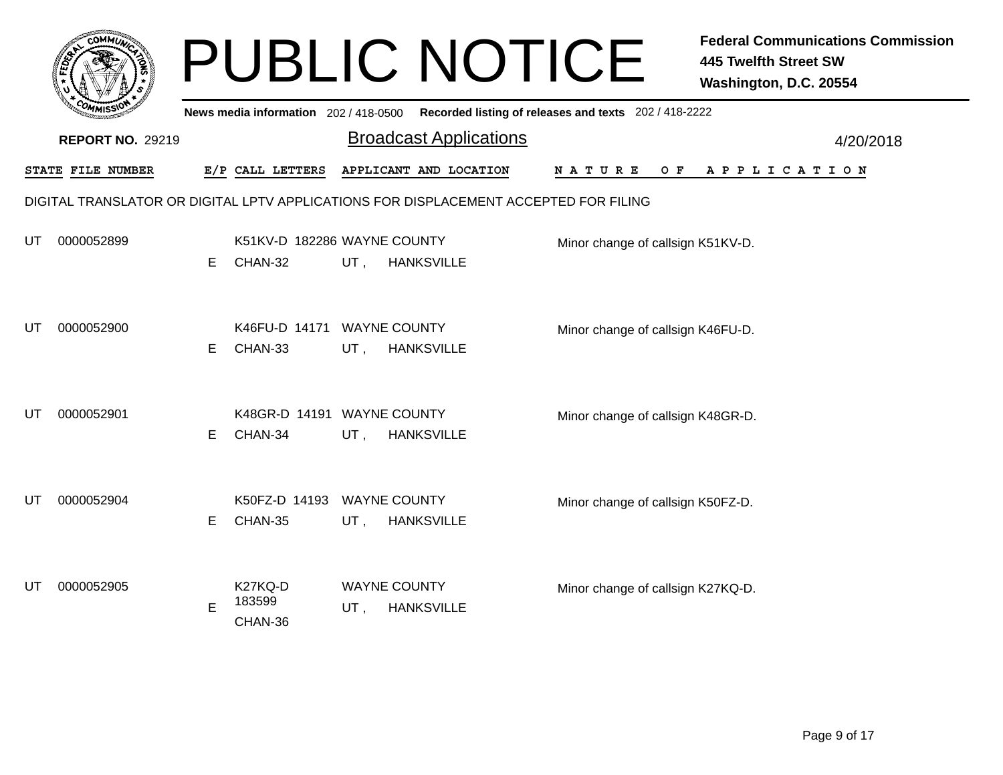|    |                                                                                      |    |                                        |                            | <b>PUBLIC NOTICE</b>          |                                                       | <b>Federal Communications Commission</b><br><b>445 Twelfth Street SW</b><br>Washington, D.C. 20554 |  |  |  |  |
|----|--------------------------------------------------------------------------------------|----|----------------------------------------|----------------------------|-------------------------------|-------------------------------------------------------|----------------------------------------------------------------------------------------------------|--|--|--|--|
|    |                                                                                      |    | News media information 202 / 418-0500  |                            |                               | Recorded listing of releases and texts 202 / 418-2222 |                                                                                                    |  |  |  |  |
|    | <b>REPORT NO. 29219</b>                                                              |    |                                        |                            | <b>Broadcast Applications</b> |                                                       | 4/20/2018                                                                                          |  |  |  |  |
|    | STATE FILE NUMBER                                                                    |    | E/P CALL LETTERS                       |                            | APPLICANT AND LOCATION        | N A T U R E<br>O F                                    | A P P L I C A T I O N                                                                              |  |  |  |  |
|    | DIGITAL TRANSLATOR OR DIGITAL LPTV APPLICATIONS FOR DISPLACEMENT ACCEPTED FOR FILING |    |                                        |                            |                               |                                                       |                                                                                                    |  |  |  |  |
| UT | 0000052899                                                                           | E  | K51KV-D 182286 WAYNE COUNTY<br>CHAN-32 | UT,                        | <b>HANKSVILLE</b>             | Minor change of callsign K51KV-D.                     |                                                                                                    |  |  |  |  |
| UT | 0000052900                                                                           | E. | K46FU-D 14171 WAYNE COUNTY<br>CHAN-33  | $UT$ ,                     | <b>HANKSVILLE</b>             | Minor change of callsign K46FU-D.                     |                                                                                                    |  |  |  |  |
| UT | 0000052901                                                                           | E. | K48GR-D 14191 WAYNE COUNTY<br>CHAN-34  | UT,                        | <b>HANKSVILLE</b>             | Minor change of callsign K48GR-D.                     |                                                                                                    |  |  |  |  |
| UT | 0000052904                                                                           | E. | K50FZ-D 14193 WAYNE COUNTY<br>CHAN-35  | UT,                        | <b>HANKSVILLE</b>             | Minor change of callsign K50FZ-D.                     |                                                                                                    |  |  |  |  |
| UT | 0000052905                                                                           | Е  | K27KQ-D<br>183599<br>CHAN-36           | <b>WAYNE COUNTY</b><br>UT, | <b>HANKSVILLE</b>             | Minor change of callsign K27KQ-D.                     |                                                                                                    |  |  |  |  |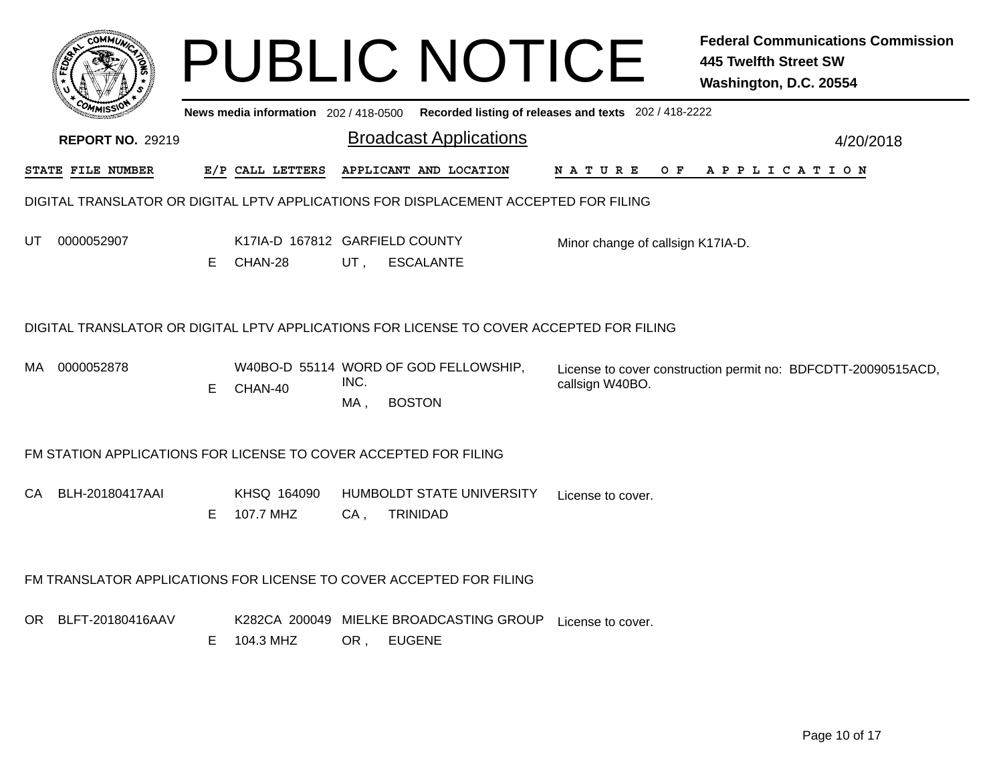|                                                                                          |                         |    |                                           |             | <b>PUBLIC NOTICE</b>                                                                 |                                                                                         |     | <b>445 Twelfth Street SW</b><br>Washington, D.C. 20554 | <b>Federal Communications Commission</b> |  |
|------------------------------------------------------------------------------------------|-------------------------|----|-------------------------------------------|-------------|--------------------------------------------------------------------------------------|-----------------------------------------------------------------------------------------|-----|--------------------------------------------------------|------------------------------------------|--|
|                                                                                          |                         |    |                                           |             |                                                                                      | News media information 202/418-0500 Recorded listing of releases and texts 202/418-2222 |     |                                                        |                                          |  |
|                                                                                          | <b>REPORT NO. 29219</b> |    |                                           |             | <b>Broadcast Applications</b>                                                        |                                                                                         |     |                                                        | 4/20/2018                                |  |
| <b>STATE FILE NUMBER</b>                                                                 |                         |    | E/P CALL LETTERS                          |             | APPLICANT AND LOCATION                                                               | N A T U R E                                                                             | O F | A P P L I C A T I O N                                  |                                          |  |
|                                                                                          |                         |    |                                           |             | DIGITAL TRANSLATOR OR DIGITAL LPTV APPLICATIONS FOR DISPLACEMENT ACCEPTED FOR FILING |                                                                                         |     |                                                        |                                          |  |
| UT<br>0000052907                                                                         |                         | Е  | K17IA-D 167812 GARFIELD COUNTY<br>CHAN-28 | UT,         | <b>ESCALANTE</b>                                                                     | Minor change of callsign K17IA-D.                                                       |     |                                                        |                                          |  |
| DIGITAL TRANSLATOR OR DIGITAL LPTV APPLICATIONS FOR LICENSE TO COVER ACCEPTED FOR FILING |                         |    |                                           |             |                                                                                      |                                                                                         |     |                                                        |                                          |  |
| MA 0000052878                                                                            |                         | E. | CHAN-40                                   | INC.<br>MA, | W40BO-D 55114 WORD OF GOD FELLOWSHIP,<br><b>BOSTON</b>                               | License to cover construction permit no: BDFCDTT-20090515ACD,<br>callsign W40BO.        |     |                                                        |                                          |  |
|                                                                                          |                         |    |                                           |             | FM STATION APPLICATIONS FOR LICENSE TO COVER ACCEPTED FOR FILING                     |                                                                                         |     |                                                        |                                          |  |
| СA                                                                                       | BLH-20180417AAI         | E  | KHSQ 164090<br>107.7 MHZ                  | $CA$ ,      | HUMBOLDT STATE UNIVERSITY<br><b>TRINIDAD</b>                                         | License to cover.                                                                       |     |                                                        |                                          |  |
|                                                                                          |                         |    |                                           |             | FM TRANSLATOR APPLICATIONS FOR LICENSE TO COVER ACCEPTED FOR FILING                  |                                                                                         |     |                                                        |                                          |  |
| OR BLFT-20180416AAV                                                                      |                         | E. | K282CA 200049<br>104.3 MHZ                |             | MIELKE BROADCASTING GROUP<br>OR, EUGENE                                              | License to cover.                                                                       |     |                                                        |                                          |  |
|                                                                                          |                         |    |                                           |             |                                                                                      |                                                                                         |     |                                                        |                                          |  |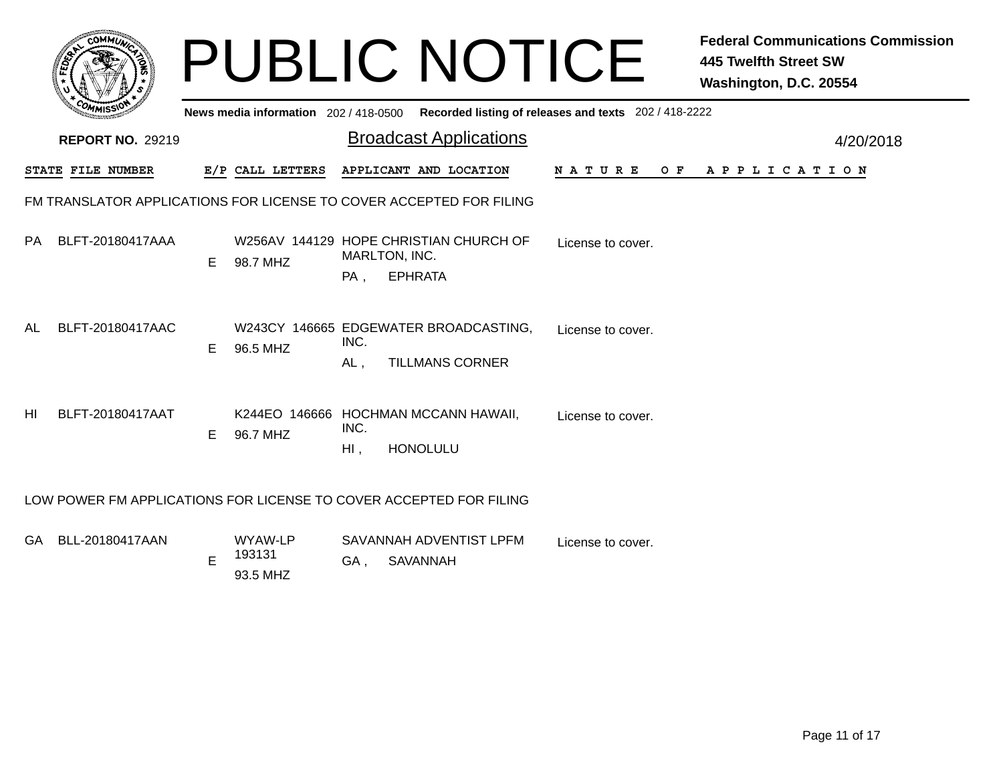|                | <b>COMMUT</b>           |    |                                       |                | <b>PUBLIC NOTICE</b>                                                      |                                                       | <b>Federal Communications Commission</b><br><b>445 Twelfth Street SW</b><br>Washington, D.C. 20554 |
|----------------|-------------------------|----|---------------------------------------|----------------|---------------------------------------------------------------------------|-------------------------------------------------------|----------------------------------------------------------------------------------------------------|
|                |                         |    | News media information 202 / 418-0500 |                |                                                                           | Recorded listing of releases and texts 202 / 418-2222 |                                                                                                    |
|                | <b>REPORT NO. 29219</b> |    |                                       |                | <b>Broadcast Applications</b>                                             |                                                       | 4/20/2018                                                                                          |
|                | STATE FILE NUMBER       |    | E/P CALL LETTERS                      |                | APPLICANT AND LOCATION                                                    | N A T U R E                                           | OF APPLICATION                                                                                     |
|                |                         |    |                                       |                | FM TRANSLATOR APPLICATIONS FOR LICENSE TO COVER ACCEPTED FOR FILING       |                                                       |                                                                                                    |
| PA.            | BLFT-20180417AAA        | E. | 98.7 MHZ                              | $PA$ ,         | W256AV 144129 HOPE CHRISTIAN CHURCH OF<br>MARLTON, INC.<br><b>EPHRATA</b> | License to cover.                                     |                                                                                                    |
| AL             | BLFT-20180417AAC        | E. | 96.5 MHZ                              | INC.<br>AL.    | W243CY 146665 EDGEWATER BROADCASTING,<br><b>TILLMANS CORNER</b>           | License to cover.                                     |                                                                                                    |
| H <sub>l</sub> | BLFT-20180417AAT        | E. | 96.7 MHZ                              | INC.<br>$Hl$ , | K244EO 146666 HOCHMAN MCCANN HAWAII,<br><b>HONOLULU</b>                   | License to cover.                                     |                                                                                                    |
|                |                         |    |                                       |                | LOW POWER FM APPLICATIONS FOR LICENSE TO COVER ACCEPTED FOR FILING        |                                                       |                                                                                                    |
|                | GA BLL-20180417AAN      | E  | WYAW-LP<br>193131<br>93.5 MHZ         | GA,            | SAVANNAH ADVENTIST LPFM<br><b>SAVANNAH</b>                                | License to cover.                                     |                                                                                                    |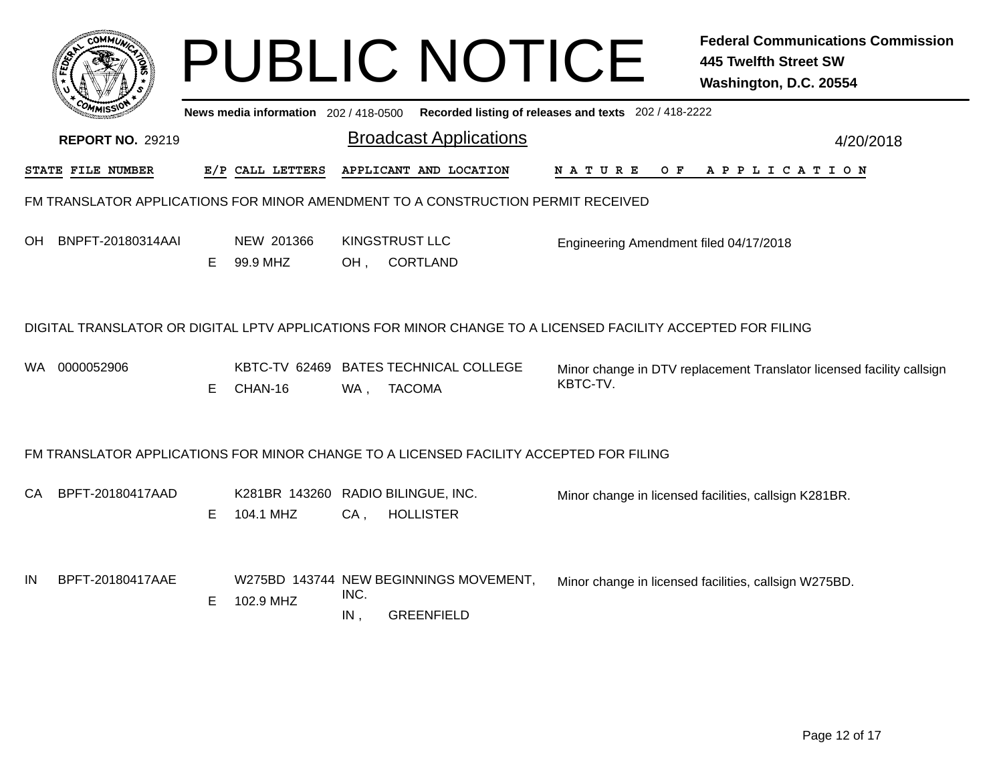| <b>сомміл</b>                                                                               |    |                        | <b>PUBLIC NOTICE</b>                                                                   | <b>Federal Communications Commission</b><br><b>445 Twelfth Street SW</b><br>Washington, D.C. 20554          |  |  |  |  |  |
|---------------------------------------------------------------------------------------------|----|------------------------|----------------------------------------------------------------------------------------|-------------------------------------------------------------------------------------------------------------|--|--|--|--|--|
| News media information 202 / 418-0500 Recorded listing of releases and texts 202 / 418-2222 |    |                        |                                                                                        |                                                                                                             |  |  |  |  |  |
| <b>REPORT NO. 29219</b>                                                                     |    |                        | <b>Broadcast Applications</b>                                                          | 4/20/2018                                                                                                   |  |  |  |  |  |
| STATE FILE NUMBER                                                                           |    | E/P CALL LETTERS       | APPLICANT AND LOCATION                                                                 | NATURE OF APPLICATION                                                                                       |  |  |  |  |  |
| FM TRANSLATOR APPLICATIONS FOR MINOR AMENDMENT TO A CONSTRUCTION PERMIT RECEIVED            |    |                        |                                                                                        |                                                                                                             |  |  |  |  |  |
| BNPFT-20180314AAI<br>OH.                                                                    | E. | NEW 201366<br>99.9 MHZ | <b>KINGSTRUST LLC</b><br><b>CORTLAND</b><br>OH,                                        | Engineering Amendment filed 04/17/2018                                                                      |  |  |  |  |  |
|                                                                                             |    |                        |                                                                                        | DIGITAL TRANSLATOR OR DIGITAL LPTV APPLICATIONS FOR MINOR CHANGE TO A LICENSED FACILITY ACCEPTED FOR FILING |  |  |  |  |  |
| 0000052906<br>WA.                                                                           | Е  | CHAN-16                | KBTC-TV 62469 BATES TECHNICAL COLLEGE<br><b>TACOMA</b><br>WA,                          | Minor change in DTV replacement Translator licensed facility callsign<br>KBTC-TV.                           |  |  |  |  |  |
|                                                                                             |    |                        | FM TRANSLATOR APPLICATIONS FOR MINOR CHANGE TO A LICENSED FACILITY ACCEPTED FOR FILING |                                                                                                             |  |  |  |  |  |
| BPFT-20180417AAD<br>CA.                                                                     | E. | 104.1 MHZ              | K281BR 143260 RADIO BILINGUE, INC.<br><b>HOLLISTER</b><br>$CA$ ,                       | Minor change in licensed facilities, callsign K281BR.                                                       |  |  |  |  |  |
| BPFT-20180417AAE<br>IN                                                                      | Е. | 102.9 MHZ              | W275BD 143744 NEW BEGINNINGS MOVEMENT,<br>INC.<br>IN,<br><b>GREENFIELD</b>             | Minor change in licensed facilities, callsign W275BD.                                                       |  |  |  |  |  |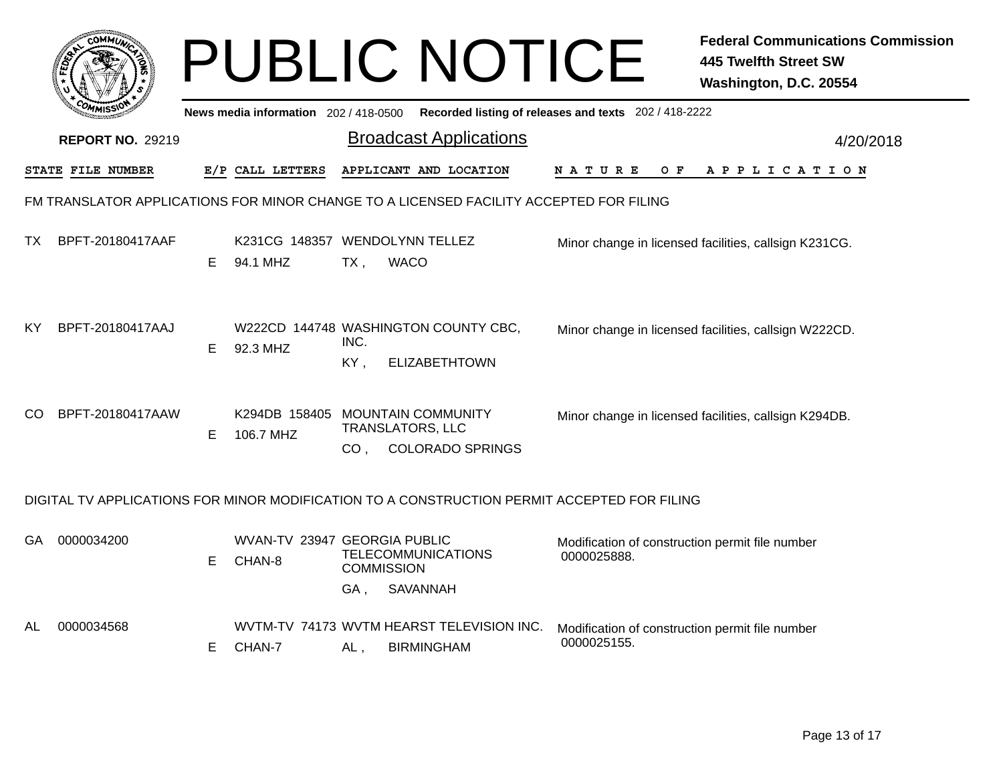|                                                                                        |                         |    |                                       | <b>PUBLIC NOTICE</b>                                                                                      |                                                                | <b>Federal Communications Commission</b><br><b>445 Twelfth Street SW</b><br>Washington, D.C. 20554 |  |  |
|----------------------------------------------------------------------------------------|-------------------------|----|---------------------------------------|-----------------------------------------------------------------------------------------------------------|----------------------------------------------------------------|----------------------------------------------------------------------------------------------------|--|--|
|                                                                                        |                         |    | News media information 202 / 418-0500 |                                                                                                           | Recorded listing of releases and texts 202 / 418-2222          |                                                                                                    |  |  |
|                                                                                        | <b>REPORT NO. 29219</b> |    |                                       | <b>Broadcast Applications</b>                                                                             |                                                                | 4/20/2018                                                                                          |  |  |
|                                                                                        | STATE FILE NUMBER       |    | E/P CALL LETTERS                      | APPLICANT AND LOCATION                                                                                    | O F<br>N A T U R E                                             | A P P L I C A T I O N                                                                              |  |  |
| FM TRANSLATOR APPLICATIONS FOR MINOR CHANGE TO A LICENSED FACILITY ACCEPTED FOR FILING |                         |    |                                       |                                                                                                           |                                                                |                                                                                                    |  |  |
| TX.                                                                                    | BPFT-20180417AAF        | E. | 94.1 MHZ                              | K231CG 148357 WENDOLYNN TELLEZ<br>$TX$ ,<br><b>WACO</b>                                                   |                                                                | Minor change in licensed facilities, callsign K231CG.                                              |  |  |
| KY                                                                                     | BPFT-20180417AAJ        | E. | 92.3 MHZ                              | W222CD 144748 WASHINGTON COUNTY CBC,<br>INC.<br>KY,<br><b>ELIZABETHTOWN</b>                               |                                                                | Minor change in licensed facilities, callsign W222CD.                                              |  |  |
| CO.                                                                                    | BPFT-20180417AAW        | E. | 106.7 MHZ                             | K294DB 158405 MOUNTAIN COMMUNITY<br><b>TRANSLATORS, LLC</b><br><b>COLORADO SPRINGS</b><br>CO <sub>1</sub> |                                                                | Minor change in licensed facilities, callsign K294DB.                                              |  |  |
|                                                                                        |                         |    |                                       | DIGITAL TV APPLICATIONS FOR MINOR MODIFICATION TO A CONSTRUCTION PERMIT ACCEPTED FOR FILING               |                                                                |                                                                                                    |  |  |
| GA                                                                                     | 0000034200              | E  | CHAN-8                                | WVAN-TV 23947 GEORGIA PUBLIC<br><b>TELECOMMUNICATIONS</b><br><b>COMMISSION</b><br><b>SAVANNAH</b><br>GA,  | Modification of construction permit file number<br>0000025888. |                                                                                                    |  |  |
| AL                                                                                     | 0000034568              | E. | CHAN-7                                | WVTM-TV 74173 WVTM HEARST TELEVISION INC.<br><b>BIRMINGHAM</b><br>$AL$ ,                                  | Modification of construction permit file number<br>0000025155. |                                                                                                    |  |  |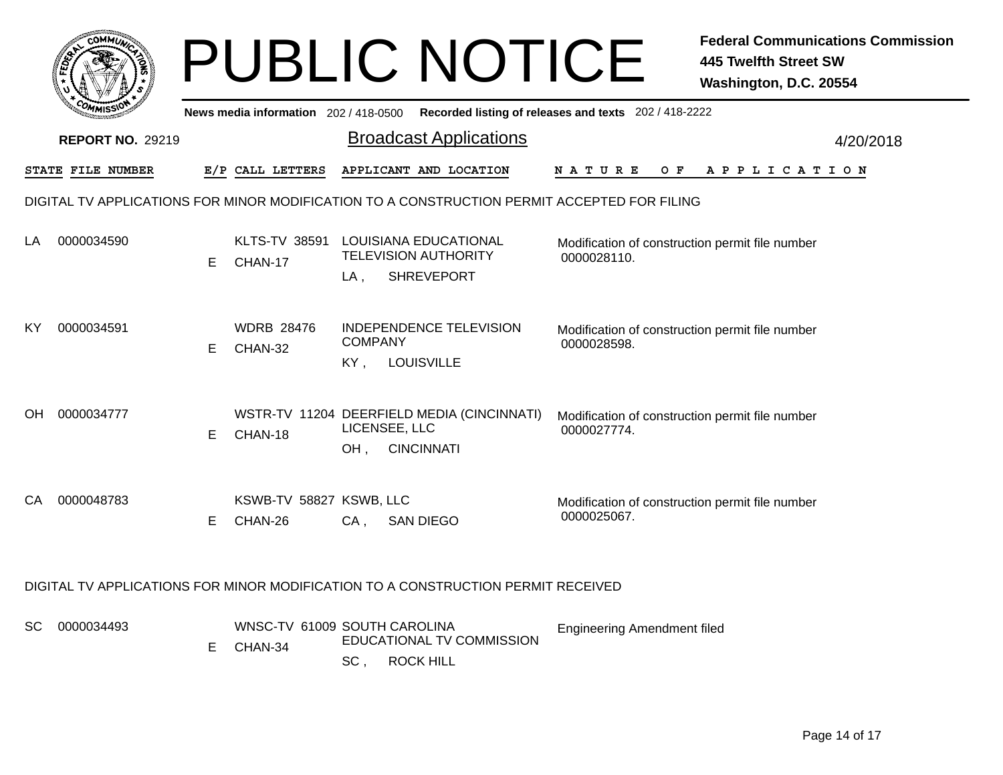|     | COMMUN                  |    |                                         |                                                                                                                                      | <b>PUBLIC NOTICE</b>                                                             |                                                                                             | <b>Federal Communications Commission</b><br><b>445 Twelfth Street SW</b><br>Washington, D.C. 20554 |
|-----|-------------------------|----|-----------------------------------------|--------------------------------------------------------------------------------------------------------------------------------------|----------------------------------------------------------------------------------|---------------------------------------------------------------------------------------------|----------------------------------------------------------------------------------------------------|
|     |                         |    | News media information 202 / 418-0500   |                                                                                                                                      |                                                                                  | Recorded listing of releases and texts 202 / 418-2222                                       |                                                                                                    |
|     | <b>REPORT NO. 29219</b> |    |                                         |                                                                                                                                      | <b>Broadcast Applications</b>                                                    |                                                                                             | 4/20/2018                                                                                          |
|     | STATE FILE NUMBER       |    | E/P CALL LETTERS                        |                                                                                                                                      | APPLICANT AND LOCATION                                                           | <b>NATURE</b><br>O F                                                                        | A P P L I C A T I O N                                                                              |
|     |                         |    |                                         |                                                                                                                                      |                                                                                  | DIGITAL TV APPLICATIONS FOR MINOR MODIFICATION TO A CONSTRUCTION PERMIT ACCEPTED FOR FILING |                                                                                                    |
| LA  | 0000034590              | E. | CHAN-17                                 | KLTS-TV 38591 LOUISIANA EDUCATIONAL<br>Modification of construction permit file number<br><b>TELEVISION AUTHORITY</b><br>0000028110. |                                                                                  |                                                                                             |                                                                                                    |
|     |                         |    |                                         | LA ,                                                                                                                                 | <b>SHREVEPORT</b>                                                                |                                                                                             |                                                                                                    |
| ΚY  | 0000034591              | E. | <b>WDRB 28476</b><br>CHAN-32            | <b>COMPANY</b><br>KY,                                                                                                                | <b>INDEPENDENCE TELEVISION</b><br><b>LOUISVILLE</b>                              | Modification of construction permit file number<br>0000028598.                              |                                                                                                    |
| OH. | 0000034777              | E. | CHAN-18                                 | LICENSEE, LLC<br>OH,                                                                                                                 | WSTR-TV 11204 DEERFIELD MEDIA (CINCINNATI)<br><b>CINCINNATI</b>                  | Modification of construction permit file number<br>0000027774.                              |                                                                                                    |
| CА  | 0000048783              | Е  | KSWB-TV 58827 KSWB, LLC<br>CHAN-26      | CA,                                                                                                                                  | <b>SAN DIEGO</b>                                                                 | Modification of construction permit file number<br>0000025067.                              |                                                                                                    |
|     |                         |    |                                         |                                                                                                                                      | DIGITAL TV APPLICATIONS FOR MINOR MODIFICATION TO A CONSTRUCTION PERMIT RECEIVED |                                                                                             |                                                                                                    |
| SC  | 0000034493              | E. | WNSC-TV 61009 SOUTH CAROLINA<br>CHAN-34 | SC,                                                                                                                                  | EDUCATIONAL TV COMMISSION<br><b>ROCK HILL</b>                                    | <b>Engineering Amendment filed</b>                                                          |                                                                                                    |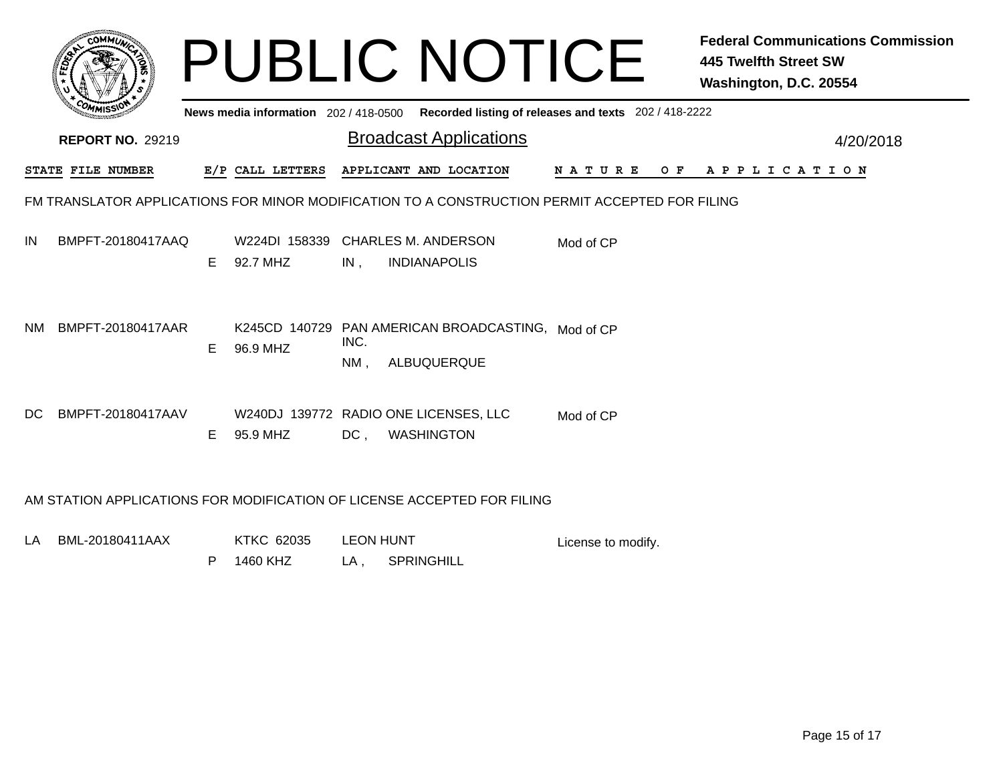|           |                                                                                                                                                                         |    |                           |             | <b>PUBLIC NOTICE</b>                                                                           |             | <b>Federal Communications Commission</b><br><b>445 Twelfth Street SW</b><br>Washington, D.C. 20554 |  |  |
|-----------|-------------------------------------------------------------------------------------------------------------------------------------------------------------------------|----|---------------------------|-------------|------------------------------------------------------------------------------------------------|-------------|----------------------------------------------------------------------------------------------------|--|--|
|           | News media information 202 / 418-0500<br>Recorded listing of releases and texts 202 / 418-2222<br><b>Broadcast Applications</b><br><b>REPORT NO. 29219</b><br>4/20/2018 |    |                           |             |                                                                                                |             |                                                                                                    |  |  |
|           | STATE FILE NUMBER                                                                                                                                                       |    | E/P CALL LETTERS          |             | APPLICANT AND LOCATION                                                                         | N A T U R E | OF APPLICATION                                                                                     |  |  |
|           |                                                                                                                                                                         |    |                           |             | FM TRANSLATOR APPLICATIONS FOR MINOR MODIFICATION TO A CONSTRUCTION PERMIT ACCEPTED FOR FILING |             |                                                                                                    |  |  |
| IN        | BMPFT-20180417AAQ                                                                                                                                                       | E. | W224DI 158339<br>92.7 MHZ | IN.         | <b>CHARLES M. ANDERSON</b><br><b>INDIANAPOLIS</b>                                              | Mod of CP   |                                                                                                    |  |  |
| <b>NM</b> | BMPFT-20180417AAR                                                                                                                                                       | E  | 96.9 MHZ                  | INC.<br>NM, | K245CD 140729 PAN AMERICAN BROADCASTING, Mod of CP<br>ALBUQUERQUE                              |             |                                                                                                    |  |  |
| DC.       | BMPFT-20180417AAV                                                                                                                                                       | E. | 95.9 MHZ                  | $DC$ ,      | W240DJ 139772 RADIO ONE LICENSES, LLC<br><b>WASHINGTON</b>                                     | Mod of CP   |                                                                                                    |  |  |
|           | AM STATION APPLICATIONS FOR MODIFICATION OF LICENSE ACCEPTED FOR FILING                                                                                                 |    |                           |             |                                                                                                |             |                                                                                                    |  |  |

LA KTKC 62035 LEON HUNT BML-20180411AAX LA , SPRINGHILL P 1460 KHZ License to modify.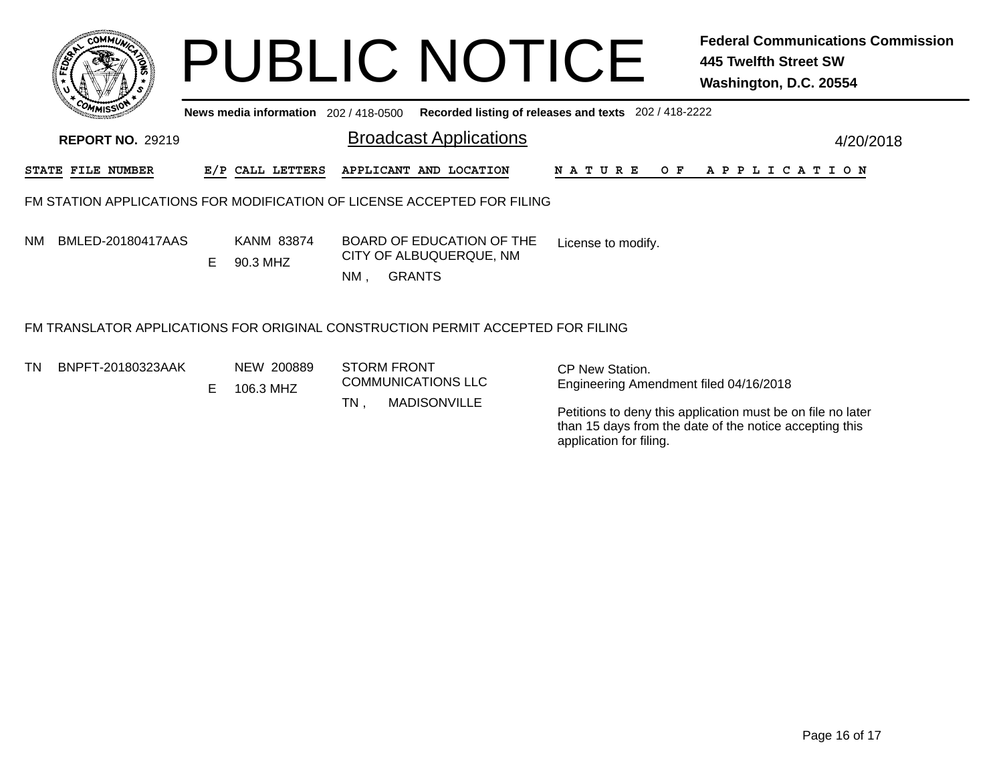|           | COMMUL                  |    |                                       | <b>PUBLIC NOTICE</b>                                                            |                                                           | <b>Federal Communications Commission</b><br>445 Twelfth Street SW<br>Washington, D.C. 20554 |
|-----------|-------------------------|----|---------------------------------------|---------------------------------------------------------------------------------|-----------------------------------------------------------|---------------------------------------------------------------------------------------------|
|           |                         |    | News media information 202 / 418-0500 |                                                                                 | Recorded listing of releases and texts 202 / 418-2222     |                                                                                             |
|           | <b>REPORT NO. 29219</b> |    |                                       | <b>Broadcast Applications</b>                                                   |                                                           | 4/20/2018                                                                                   |
|           | STATE FILE NUMBER       |    | E/P CALL LETTERS                      | APPLICANT AND LOCATION                                                          | N A T U R E<br>O F                                        | A P P L I C A T I O N                                                                       |
|           |                         |    |                                       | FM STATION APPLICATIONS FOR MODIFICATION OF LICENSE ACCEPTED FOR FILING         |                                                           |                                                                                             |
| <b>NM</b> | BMLED-20180417AAS       | E. | <b>KANM 83874</b><br>90.3 MHZ         | BOARD OF EDUCATION OF THE<br>CITY OF ALBUQUERQUE, NM<br><b>GRANTS</b><br>NM .   | License to modify.                                        |                                                                                             |
|           |                         |    |                                       | FM TRANSLATOR APPLICATIONS FOR ORIGINAL CONSTRUCTION PERMIT ACCEPTED FOR FILING |                                                           |                                                                                             |
| TN.       | BNPFT-20180323AAK       | E. | NEW 200889<br>106.3 MHZ               | <b>STORM FRONT</b><br><b>COMMUNICATIONS LLC</b>                                 | CP New Station.<br>Engineering Amendment filed 04/16/2018 |                                                                                             |

TN

, MADISONVILLE

Petitions to deny this application must be on file no later than 15 days from the date of the notice accepting this application for filing.